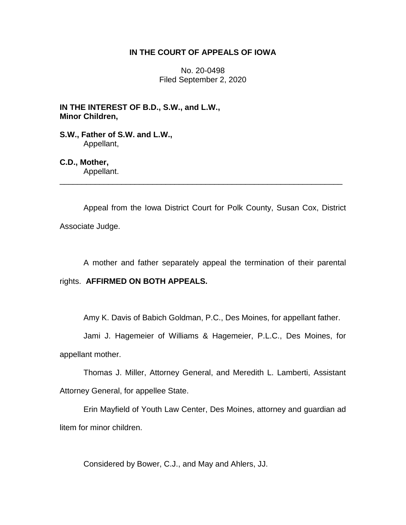## **IN THE COURT OF APPEALS OF IOWA**

No. 20-0498 Filed September 2, 2020

**IN THE INTEREST OF B.D., S.W., and L.W., Minor Children,**

**S.W., Father of S.W. and L.W.,** Appellant,

**C.D., Mother,** Appellant. \_\_\_\_\_\_\_\_\_\_\_\_\_\_\_\_\_\_\_\_\_\_\_\_\_\_\_\_\_\_\_\_\_\_\_\_\_\_\_\_\_\_\_\_\_\_\_\_\_\_\_\_\_\_\_\_\_\_\_\_\_\_\_\_

Appeal from the Iowa District Court for Polk County, Susan Cox, District Associate Judge.

A mother and father separately appeal the termination of their parental

### rights. **AFFIRMED ON BOTH APPEALS.**

Amy K. Davis of Babich Goldman, P.C., Des Moines, for appellant father.

Jami J. Hagemeier of Williams & Hagemeier, P.L.C., Des Moines, for appellant mother.

Thomas J. Miller, Attorney General, and Meredith L. Lamberti, Assistant Attorney General, for appellee State.

Erin Mayfield of Youth Law Center, Des Moines, attorney and guardian ad litem for minor children.

Considered by Bower, C.J., and May and Ahlers, JJ.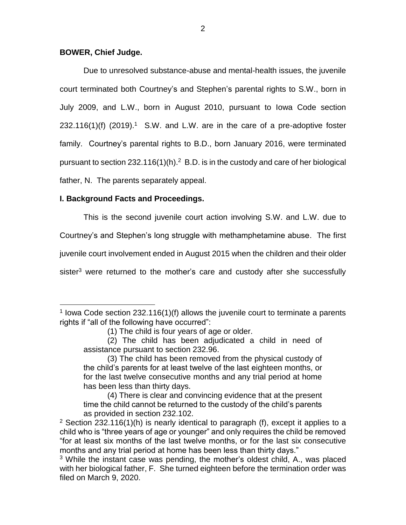## **BOWER, Chief Judge.**

 $\overline{a}$ 

Due to unresolved substance-abuse and mental-health issues, the juvenile court terminated both Courtney's and Stephen's parental rights to S.W., born in July 2009, and L.W., born in August 2010, pursuant to Iowa Code section  $232.116(1)$ (f)  $(2019).<sup>1</sup>$  S.W. and L.W. are in the care of a pre-adoptive foster family. Courtney's parental rights to B.D., born January 2016, were terminated pursuant to section  $232.116(1)(h).<sup>2</sup> B.D.$  is in the custody and care of her biological father, N. The parents separately appeal.

# **I. Background Facts and Proceedings.**

This is the second juvenile court action involving S.W. and L.W. due to

Courtney's and Stephen's long struggle with methamphetamine abuse. The first

juvenile court involvement ended in August 2015 when the children and their older

sister<sup>3</sup> were returned to the mother's care and custody after she successfully

<sup>&</sup>lt;sup>1</sup> lowa Code section 232.116(1)(f) allows the juvenile court to terminate a parents rights if "all of the following have occurred":

<sup>(1)</sup> The child is four years of age or older.

<sup>(2)</sup> The child has been adjudicated a child in need of assistance pursuant to section 232.96.

<sup>(3)</sup> The child has been removed from the physical custody of the child's parents for at least twelve of the last eighteen months, or for the last twelve consecutive months and any trial period at home has been less than thirty days.

<sup>(4)</sup> There is clear and convincing evidence that at the present time the child cannot be returned to the custody of the child's parents as provided in section 232.102.

<sup>&</sup>lt;sup>2</sup> Section 232.116(1)(h) is nearly identical to paragraph (f), except it applies to a child who is "three years of age or younger" and only requires the child be removed "for at least six months of the last twelve months, or for the last six consecutive months and any trial period at home has been less than thirty days."

 $3$  While the instant case was pending, the mother's oldest child, A., was placed with her biological father, F. She turned eighteen before the termination order was filed on March 9, 2020.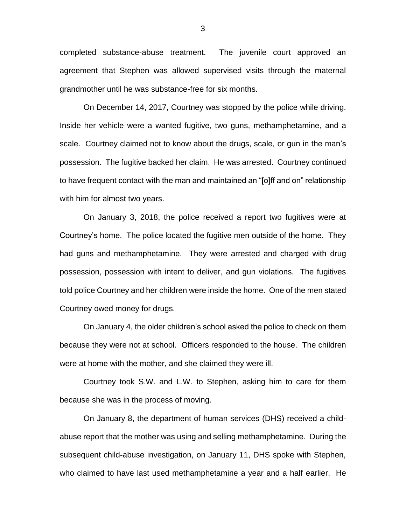completed substance-abuse treatment. The juvenile court approved an agreement that Stephen was allowed supervised visits through the maternal grandmother until he was substance-free for six months.

On December 14, 2017, Courtney was stopped by the police while driving. Inside her vehicle were a wanted fugitive, two guns, methamphetamine, and a scale. Courtney claimed not to know about the drugs, scale, or gun in the man's possession. The fugitive backed her claim. He was arrested. Courtney continued to have frequent contact with the man and maintained an "[o]ff and on" relationship with him for almost two years.

On January 3, 2018, the police received a report two fugitives were at Courtney's home. The police located the fugitive men outside of the home. They had guns and methamphetamine. They were arrested and charged with drug possession, possession with intent to deliver, and gun violations. The fugitives told police Courtney and her children were inside the home. One of the men stated Courtney owed money for drugs.

On January 4, the older children's school asked the police to check on them because they were not at school. Officers responded to the house. The children were at home with the mother, and she claimed they were ill.

Courtney took S.W. and L.W. to Stephen, asking him to care for them because she was in the process of moving.

On January 8, the department of human services (DHS) received a childabuse report that the mother was using and selling methamphetamine. During the subsequent child-abuse investigation, on January 11, DHS spoke with Stephen, who claimed to have last used methamphetamine a year and a half earlier. He

3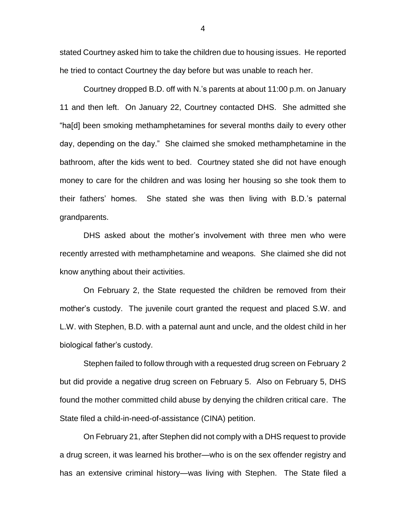stated Courtney asked him to take the children due to housing issues. He reported he tried to contact Courtney the day before but was unable to reach her.

Courtney dropped B.D. off with N.'s parents at about 11:00 p.m. on January 11 and then left. On January 22, Courtney contacted DHS. She admitted she "ha[d] been smoking methamphetamines for several months daily to every other day, depending on the day." She claimed she smoked methamphetamine in the bathroom, after the kids went to bed. Courtney stated she did not have enough money to care for the children and was losing her housing so she took them to their fathers' homes. She stated she was then living with B.D.'s paternal grandparents.

DHS asked about the mother's involvement with three men who were recently arrested with methamphetamine and weapons. She claimed she did not know anything about their activities.

On February 2, the State requested the children be removed from their mother's custody. The juvenile court granted the request and placed S.W. and L.W. with Stephen, B.D. with a paternal aunt and uncle, and the oldest child in her biological father's custody.

Stephen failed to follow through with a requested drug screen on February 2 but did provide a negative drug screen on February 5. Also on February 5, DHS found the mother committed child abuse by denying the children critical care. The State filed a child-in-need-of-assistance (CINA) petition.

On February 21, after Stephen did not comply with a DHS request to provide a drug screen, it was learned his brother—who is on the sex offender registry and has an extensive criminal history—was living with Stephen. The State filed a

4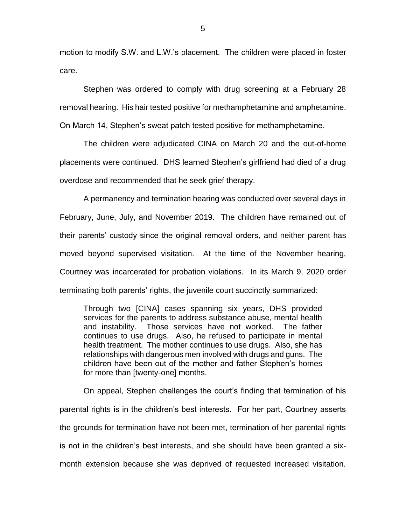motion to modify S.W. and L.W.'s placement. The children were placed in foster care.

Stephen was ordered to comply with drug screening at a February 28 removal hearing. His hair tested positive for methamphetamine and amphetamine. On March 14, Stephen's sweat patch tested positive for methamphetamine.

The children were adjudicated CINA on March 20 and the out-of-home placements were continued. DHS learned Stephen's girlfriend had died of a drug overdose and recommended that he seek grief therapy.

A permanency and termination hearing was conducted over several days in February, June, July, and November 2019. The children have remained out of their parents' custody since the original removal orders, and neither parent has moved beyond supervised visitation. At the time of the November hearing, Courtney was incarcerated for probation violations. In its March 9, 2020 order terminating both parents' rights, the juvenile court succinctly summarized:

Through two [CINA] cases spanning six years, DHS provided services for the parents to address substance abuse, mental health and instability. Those services have not worked. The father continues to use drugs. Also, he refused to participate in mental health treatment. The mother continues to use drugs. Also, she has relationships with dangerous men involved with drugs and guns. The children have been out of the mother and father Stephen's homes for more than [twenty-one] months.

On appeal, Stephen challenges the court's finding that termination of his parental rights is in the children's best interests. For her part, Courtney asserts the grounds for termination have not been met, termination of her parental rights is not in the children's best interests, and she should have been granted a sixmonth extension because she was deprived of requested increased visitation.

5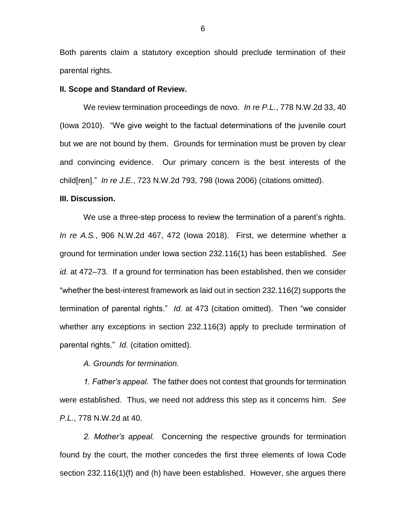Both parents claim a statutory exception should preclude termination of their parental rights.

#### **II. Scope and Standard of Review.**

We review termination proceedings de novo. *In re P.L.*, 778 N.W.2d 33, 40 (Iowa 2010). "We give weight to the factual determinations of the juvenile court but we are not bound by them. Grounds for termination must be proven by clear and convincing evidence. Our primary concern is the best interests of the child[ren]." *In re J.E.*, 723 N.W.2d 793, 798 (Iowa 2006) (citations omitted).

#### **III. Discussion.**

We use a three-step process to review the termination of a parent's rights. *In re A.S.*, 906 N.W.2d 467, 472 (Iowa 2018). First, we determine whether a ground for termination under Iowa section 232.116(1) has been established. *See id.* at 472–73. If a ground for termination has been established, then we consider "whether the best-interest framework as laid out in section 232.116(2) supports the termination of parental rights." *Id.* at 473 (citation omitted). Then "we consider whether any exceptions in section 232.116(3) apply to preclude termination of parental rights." *Id.* (citation omitted).

*A. Grounds for termination.* 

*1. Father's appeal.* The father does not contest that grounds for termination were established. Thus, we need not address this step as it concerns him. *See P.L.*, 778 N.W.2d at 40.

*2. Mother's appeal.* Concerning the respective grounds for termination found by the court, the mother concedes the first three elements of Iowa Code section 232.116(1)(f) and (h) have been established. However, she argues there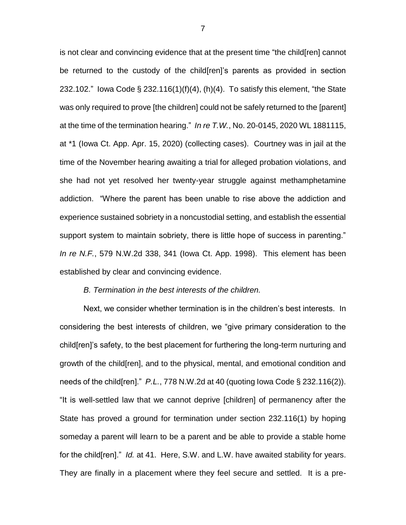is not clear and convincing evidence that at the present time "the child[ren] cannot be returned to the custody of the child[ren]'s parents as provided in section 232.102." Iowa Code  $\S$  232.116(1)(f)(4), (h)(4). To satisfy this element, "the State was only required to prove [the children] could not be safely returned to the [parent] at the time of the termination hearing." *In re T.W.*, No. 20-0145, 2020 WL 1881115, at \*1 (Iowa Ct. App. Apr. 15, 2020) (collecting cases). Courtney was in jail at the time of the November hearing awaiting a trial for alleged probation violations, and she had not yet resolved her twenty-year struggle against methamphetamine addiction. "Where the parent has been unable to rise above the addiction and experience sustained sobriety in a noncustodial setting, and establish the essential support system to maintain sobriety, there is little hope of success in parenting." *In re N.F.*, 579 N.W.2d 338, 341 (Iowa Ct. App. 1998). This element has been established by clear and convincing evidence.

#### *B. Termination in the best interests of the children.*

Next, we consider whether termination is in the children's best interests. In considering the best interests of children, we "give primary consideration to the child[ren]'s safety, to the best placement for furthering the long-term nurturing and growth of the child[ren], and to the physical, mental, and emotional condition and needs of the child[ren]." *P.L.*, 778 N.W.2d at 40 (quoting Iowa Code § 232.116(2)). "It is well-settled law that we cannot deprive [children] of permanency after the State has proved a ground for termination under section 232.116(1) by hoping someday a parent will learn to be a parent and be able to provide a stable home for the child[ren]." *Id.* at 41. Here, S.W. and L.W. have awaited stability for years. They are finally in a placement where they feel secure and settled. It is a pre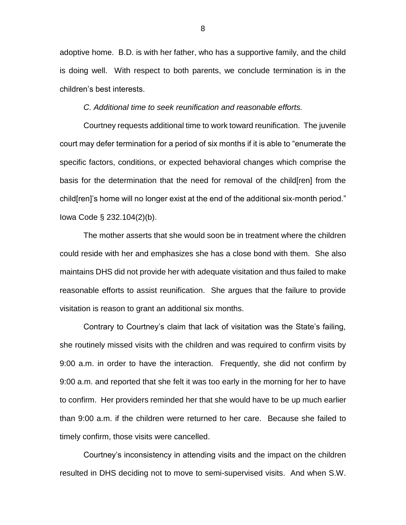adoptive home. B.D. is with her father, who has a supportive family, and the child is doing well. With respect to both parents, we conclude termination is in the children's best interests.

*C. Additional time to seek reunification and reasonable efforts.*

Courtney requests additional time to work toward reunification. The juvenile court may defer termination for a period of six months if it is able to "enumerate the specific factors, conditions, or expected behavioral changes which comprise the basis for the determination that the need for removal of the child[ren] from the child[ren]'s home will no longer exist at the end of the additional six-month period." Iowa Code § 232.104(2)(b).

The mother asserts that she would soon be in treatment where the children could reside with her and emphasizes she has a close bond with them. She also maintains DHS did not provide her with adequate visitation and thus failed to make reasonable efforts to assist reunification. She argues that the failure to provide visitation is reason to grant an additional six months.

Contrary to Courtney's claim that lack of visitation was the State's failing, she routinely missed visits with the children and was required to confirm visits by 9:00 a.m. in order to have the interaction. Frequently, she did not confirm by 9:00 a.m. and reported that she felt it was too early in the morning for her to have to confirm. Her providers reminded her that she would have to be up much earlier than 9:00 a.m. if the children were returned to her care. Because she failed to timely confirm, those visits were cancelled.

Courtney's inconsistency in attending visits and the impact on the children resulted in DHS deciding not to move to semi-supervised visits. And when S.W.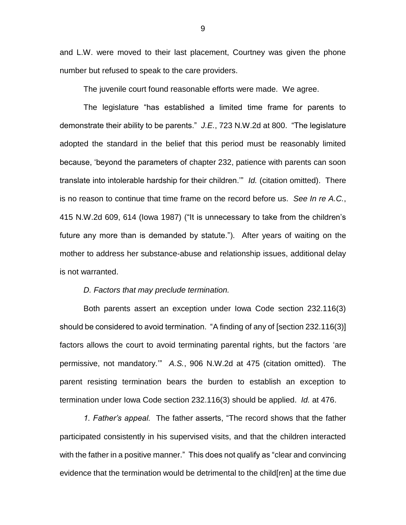and L.W. were moved to their last placement, Courtney was given the phone number but refused to speak to the care providers.

The juvenile court found reasonable efforts were made. We agree.

The legislature "has established a limited time frame for parents to demonstrate their ability to be parents." *J.E.*, 723 N.W.2d at 800. "The legislature adopted the standard in the belief that this period must be reasonably limited because, 'beyond the parameters of chapter 232, patience with parents can soon translate into intolerable hardship for their children.'" *Id.* (citation omitted). There is no reason to continue that time frame on the record before us. *See In re A.C.*, 415 N.W.2d 609, 614 (Iowa 1987) ("It is unnecessary to take from the children's future any more than is demanded by statute."). After years of waiting on the mother to address her substance-abuse and relationship issues, additional delay is not warranted.

#### *D. Factors that may preclude termination.*

Both parents assert an exception under Iowa Code section 232.116(3) should be considered to avoid termination. "A finding of any of [section 232.116(3)] factors allows the court to avoid terminating parental rights, but the factors 'are permissive, not mandatory.'" *A.S.*, 906 N.W.2d at 475 (citation omitted). The parent resisting termination bears the burden to establish an exception to termination under Iowa Code section 232.116(3) should be applied. *Id.* at 476.

*1. Father's appeal.* The father asserts, "The record shows that the father participated consistently in his supervised visits, and that the children interacted with the father in a positive manner." This does not qualify as "clear and convincing evidence that the termination would be detrimental to the child[ren] at the time due